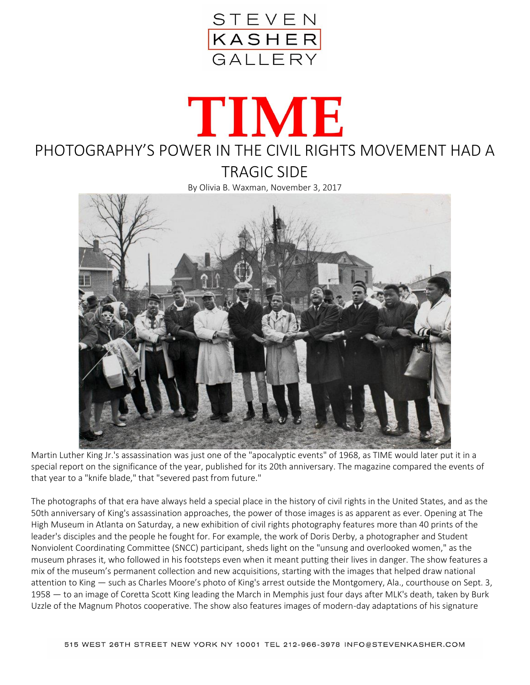

## TIME PHOTOGRAPHY'S POWER IN THE CIVIL RIGHTS MOVEMENT HAD A TRAGIC SIDE

By Olivia B. Waxman, November 3, 2017



Martin Luther King Jr.'s assassination was just one of the "apocalyptic events" of 1968, as TIME would later put it in a special report on the significance of the year, published for its 20th anniversary. The magazine compared the events of that year to a "knife blade," that "severed past from future."

The photographs of that era have always held a special place in the history of civil rights in the United States, and as the 50th anniversary of King's assassination approaches, the power of those images is as apparent as ever. Opening at The High Museum in Atlanta on Saturday, a new exhibition of civil rights photography features more than 40 prints of the leader's disciples and the people he fought for. For example, the work of Doris Derby, a photographer and Student Nonviolent Coordinating Committee (SNCC) participant, sheds light on the "unsung and overlooked women," as the museum phrases it, who followed in his footsteps even when it meant putting their lives in danger. The show features a mix of the museum's permanent collection and new acquisitions, starting with the images that helped draw national attention to King — such as Charles Moore's photo of King's arrest outside the Montgomery, Ala., courthouse on Sept. 3, 1958 — to an image of Coretta Scott King leading the March in Memphis just four days after MLK's death, taken by Burk Uzzle of the Magnum Photos cooperative. The show also features images of modern-day adaptations of his signature